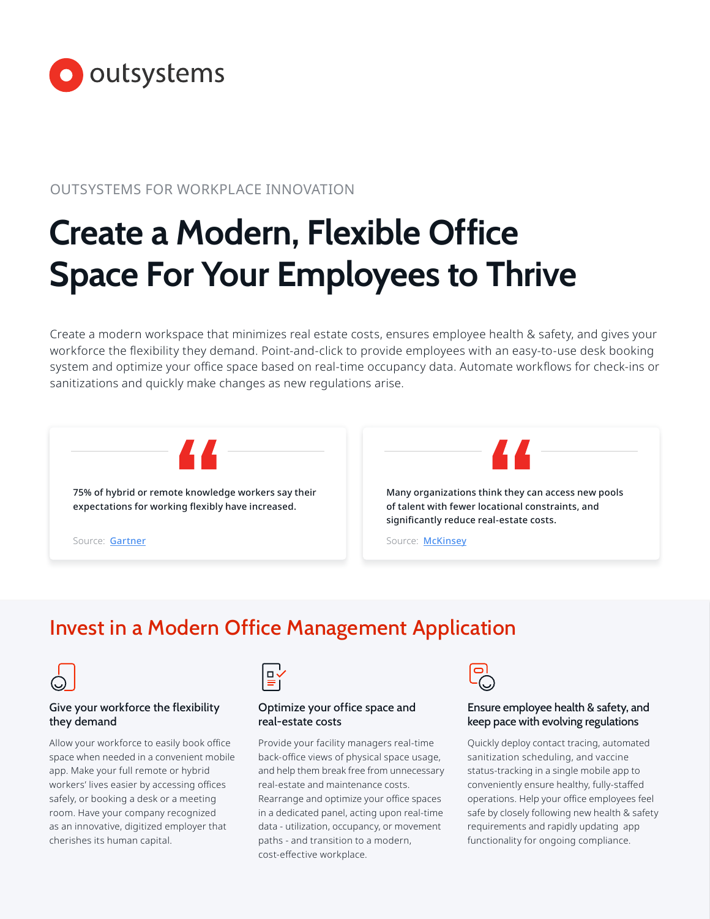

# OUTSYSTEMS FOR WORKPLACE INNOVATION

# **Create a Modern, Flexible Office Space For Your Employees to Thrive**

Create a modern workspace that minimizes real estate costs, ensures employee health & safety, and gives your workforce the flexibility they demand. Point-and-click to provide employees with an easy-to-use desk booking system and optimize your office space based on real-time occupancy data. Automate workflows for check-ins or sanitizations and quickly make changes as new regulations arise.



# Invest in a Modern Office Management Application



#### Give your workforce the flexibility they demand

Allow your workforce to easily book office space when needed in a convenient mobile app. Make your full remote or hybrid workers' lives easier by accessing offices safely, or booking a desk or a meeting room. Have your company recognized as an innovative, digitized employer that cherishes its human capital.



#### Optimize your office space and real-estate costs

Provide your facility managers real-time back-office views of physical space usage, and help them break free from unnecessary real-estate and maintenance costs. Rearrange and optimize your office spaces in a dedicated panel, acting upon real-time data - utilization, occupancy, or movement paths - and transition to a modern, cost-effective workplace.



#### Ensure employee health & safety, and keep pace with evolving regulations

Quickly deploy contact tracing, automated sanitization scheduling, and vaccine status-tracking in a single mobile app to conveniently ensure healthy, fully-staffed operations. Help your office employees feel safe by closely following new health & safety requirements and rapidly updating app functionality for ongoing compliance.